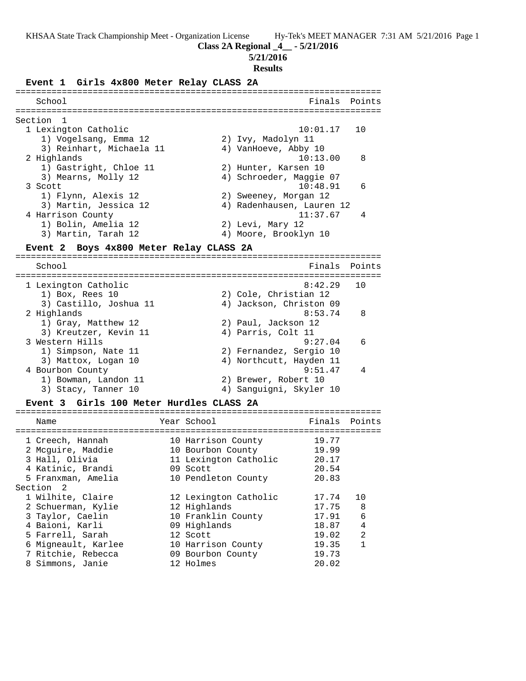**Class 2A Regional \_4\_\_ - 5/21/2016**

**5/21/2016**

#### **Results**

### **Event 1 Girls 4x800 Meter Relay CLASS 2A**

| School                   | Finals Points             |
|--------------------------|---------------------------|
| Section 1                |                           |
| 1 Lexington Catholic     | $10:01.17$ 10             |
| 1) Vogelsang, Emma 12    | 2) Ivy, Madolyn 11        |
| 3) Reinhart, Michaela 11 | 4) VanHoeve, Abby 10      |
| 2 Highlands              | - 8<br>10:13.00           |
| 1) Gastright, Chloe 11   | 2) Hunter, Karsen 10      |
| 3) Mearns, Molly 12      | 4) Schroeder, Maggie 07   |
| 3 Scott                  | $10:48.91$ 6              |
| 1) Flynn, Alexis 12      | 2) Sweeney, Morgan 12     |
| 3) Martin, Jessica 12    | 4) Radenhausen, Lauren 12 |
| 4 Harrison County        | 11:37.67                  |
| 1) Bolin, Amelia 12      | 2) Levi, Mary 12          |
| 3) Martin, Tarah 12      | 4) Moore, Brooklyn 10     |

### **Event 2 Boys 4x800 Meter Relay CLASS 2A**

======================================================================= Finals Points ======================================================================= 1 Lexington Catholic<br>1) Box, Rees 10 1) Box, Rees 10 2) Cole, Christian 12 3) Castillo, Joshua 11 4) Jackson, Christon 09 2 Highlands 8:53.74 8 1) Gray, Matthew 12 2) Paul, Jackson 12 3) Kreutzer, Kevin 11 (4) Parris, Colt 11 3 Western Hills 9:27.04 6 1) Simpson, Nate 11 2) Fernandez, Sergio 10 3) Mattox, Logan 10 4) Northcutt, Hayden 11 4 Bourbon County 9:51.47 4 1) Bowman, Landon 11 2) Brewer, Robert 10 3) Stacy, Tanner 10 4) Sanguigni, Skyler 10

#### **Event 3 Girls 100 Meter Hurdles CLASS 2A**

| Name                | Year School           | Finals | Points         |
|---------------------|-----------------------|--------|----------------|
|                     |                       |        |                |
| 1 Creech, Hannah    | 10 Harrison County    | 19.77  |                |
| 2 Mcquire, Maddie   | 10 Bourbon County     | 19.99  |                |
| 3 Hall, Olivia      | 11 Lexington Catholic | 20.17  |                |
| 4 Katinic, Brandi   | 09 Scott              | 20.54  |                |
| 5 Franxman, Amelia  | 10 Pendleton County   | 20.83  |                |
| Section 2           |                       |        |                |
| 1 Wilhite, Claire   | 12 Lexington Catholic | 17.74  | 10             |
| 2 Schuerman, Kylie  | 12 Highlands          | 17.75  | 8              |
| 3 Taylor, Caelin    | 10 Franklin County    | 17.91  | 6              |
| 4 Baioni, Karli     | 09 Highlands          | 18.87  | 4              |
| 5 Farrell, Sarah    | 12 Scott              | 19.02  | $\mathfrak{D}$ |
| 6 Migneault, Karlee | 10 Harrison County    | 19.35  | 1              |
| 7 Ritchie, Rebecca  | 09 Bourbon County     | 19.73  |                |
| 8 Simmons, Janie    | 12 Holmes             | 20.02  |                |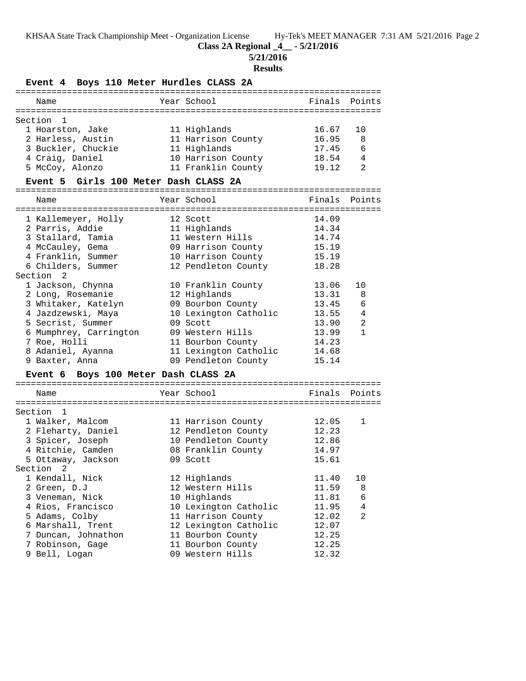**Class 2A Regional \_4\_\_ - 5/21/2016**

**5/21/2016**

## **Results**

# **Event 4 Boys 110 Meter Hurdles CLASS 2A**

|         | ============                            |  |                       |        |                |
|---------|-----------------------------------------|--|-----------------------|--------|----------------|
|         | Name                                    |  | Year School           | Finals | Points         |
| Section |                                         |  |                       |        |                |
|         | 1                                       |  |                       | 16.67  |                |
|         | 1 Hoarston, Jake                        |  | 11 Highlands          |        | 10             |
|         | 2 Harless, Austin                       |  | 11 Harrison County    | 16.95  | 8              |
|         | 3 Buckler, Chuckie                      |  | 11 Highlands          | 17.45  | 6              |
|         | 4 Craig, Daniel                         |  | 10 Harrison County    | 18.54  | 4              |
|         | 5 McCoy, Alonzo                         |  | 11 Franklin County    | 19.12  | 2              |
|         | Event 5 Girls 100 Meter Dash CLASS 2A   |  |                       |        |                |
|         | Name                                    |  | Year School           | Finals | Points         |
|         |                                         |  |                       |        |                |
|         | 1 Kallemeyer, Holly                     |  | 12 Scott              | 14.09  |                |
|         | 2 Parris, Addie                         |  | 11 Highlands          | 14.34  |                |
|         | 3 Stallard, Tamia                       |  | 11 Western Hills      | 14.74  |                |
|         | 4 McCauley, Gema                        |  | 09 Harrison County    | 15.19  |                |
|         | 4 Franklin, Summer                      |  | 10 Harrison County    | 15.19  |                |
|         | 6 Childers, Summer                      |  | 12 Pendleton County   | 18.28  |                |
|         | Section<br>2                            |  |                       |        |                |
|         | 1 Jackson, Chynna                       |  | 10 Franklin County    | 13.06  | 10             |
|         | 2 Long, Rosemanie                       |  | 12 Highlands          | 13.31  | 8              |
|         | 3 Whitaker, Katelyn                     |  | 09 Bourbon County     | 13.45  | 6              |
|         | 4 Jazdzewski, Maya                      |  | 10 Lexington Catholic | 13.55  | 4              |
|         | 5 Secrist, Summer                       |  | 09 Scott              | 13.90  | 2              |
|         | 6 Mumphrey, Carrington                  |  | 09 Western Hills      | 13.99  | $\mathbf{1}$   |
|         | 7 Roe, Holli                            |  | 11 Bourbon County     | 14.23  |                |
|         | 8 Adaniel, Ayanna                       |  | 11 Lexington Catholic | 14.68  |                |
|         | 9 Baxter, Anna                          |  | 09 Pendleton County   | 15.14  |                |
|         | Boys 100 Meter Dash CLASS 2A<br>Event 6 |  |                       |        |                |
|         | Name                                    |  | Year School           | Finals | Points         |
|         |                                         |  |                       |        |                |
|         | Section <sub>1</sub>                    |  |                       |        |                |
|         | 1 Walker, Malcom                        |  | 11 Harrison County    | 12.05  | 1              |
|         | 2 Fleharty, Daniel                      |  | 12 Pendleton County   | 12.23  |                |
|         | 3 Spicer, Joseph                        |  | 10 Pendleton County   | 12.86  |                |
|         | 4 Ritchie, Camden                       |  | 08 Franklin County    | 14.97  |                |
|         | 5 Ottaway, Jackson                      |  | 09 Scott              | 15.61  |                |
|         | Section<br>2                            |  |                       |        |                |
|         | 1 Kendall, Nick                         |  | 12 Highlands          | 11.40  | 10             |
|         | 2 Green, D.J                            |  | 12 Western Hills      | 11.59  | 8              |
|         | 3 Veneman, Nick                         |  | 10 Highlands          | 11.81  | 6              |
|         | 4 Rios, Francisco                       |  | 10 Lexington Catholic | 11.95  | 4              |
|         | 5 Adams, Colby                          |  | 11 Harrison County    | 12.02  | $\overline{2}$ |
|         | 6 Marshall, Trent                       |  | 12 Lexington Catholic | 12.07  |                |
|         |                                         |  |                       | 12.25  |                |
|         | 7 Duncan, Johnathon                     |  | 11 Bourbon County     |        |                |
|         | 7 Robinson, Gage                        |  | 11 Bourbon County     | 12.25  |                |
|         | 9 Bell, Logan                           |  | 09 Western Hills      | 12.32  |                |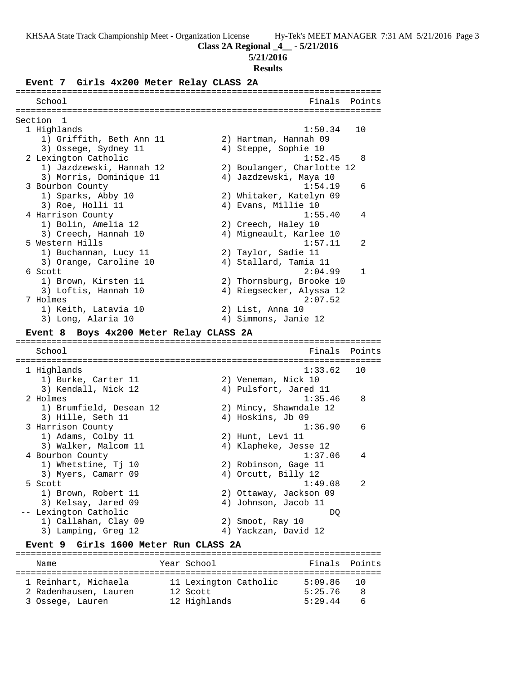**Class 2A Regional \_4\_\_ - 5/21/2016**

### **5/21/2016**

#### **Results**

#### **Event 7 Girls 4x200 Meter Relay CLASS 2A**

======================================================================= School **Finals** Points ======================================================================= Section 1 1 Highlands 1:50.34 10 1) Griffith, Beth Ann 11 2) Hartman, Hannah 09 3) Ossege, Sydney 11 (4) Steppe, Sophie 10 2 Lexington Catholic 1:52.45 8 1) Jazdzewski, Hannah 12 2) Boulanger, Charlotte 12 3) Morris, Dominique 11 4) Jazdzewski, Maya 10 3 Bourbon County 1:54.19 6 1) Sparks, Abby 10 2) Whitaker, Katelyn 09 3) Roe, Holli 11 (4) Evans, Millie 10 4 Harrison County 1:55.40 4 1) Bolin, Amelia 12 2) Creech, Haley 10 3) Creech, Hannah 10 4) Migneault, Karlee 10 5 Western Hills 1:57.11 2 1) Buchannan, Lucy 11 2) Taylor, Sadie 11 3) Orange, Caroline 10 4) Stallard, Tamia 11 6 Scott 2:04.99 1 1) Brown, Kirsten 11 2) Thornsburg, Brooke 10 3) Loftis, Hannah 10 4) Riegsecker, Alyssa 12 7 Holmes 2:07.52 1) Keith, Latavia 10  $\hspace{1.6cm}$  2) List, Anna 10 3) Long, Alaria 10 4) Simmons, Janie 12 **Event 8 Boys 4x200 Meter Relay CLASS 2A** ======================================================================= School **Finals Points** ======================================================================= 1 Highlands 1:33.62 10 1) Burke, Carter 11 2) Veneman, Nick 10 3) Kendall, Nick 12 4) Pulsfort, Jared 11 2 Holmes 1:35.46 8 1) Brumfield, Desean 12 2) Mincy, Shawndale 12 3) Hille, Seth 11 4) Hoskins, Jb 09 3 Harrison County 1:36.90 6 1) Adams, Colby 11 2) Hunt, Levi 11 3) Walker, Malcom 11 4) Klapheke, Jesse 12 4 Bourbon County 1:37.06 4 1) Whetstine, Tj 10 2) Robinson, Gage 11 3) Myers, Camarr 09 (4) Orcutt, Billy 12 5 Scott 1:49.08 2 1) Brown, Robert 11 2) Ottaway, Jackson 09 3) Kelsay, Jared 09 (4) Johnson, Jacob 11 -- Lexington Catholic DQ 1) Callahan, Clay 09 2) Smoot, Ray 10 3) Lamping, Greg 12 (4) Yackzan, David 12

### **Event 9 Girls 1600 Meter Run CLASS 2A**

======================================================================= Name **The Communist Points Points Points Points Points** Points Points Points Points Points Points Points Points Points Points Points Points Points Points Points Points Points Points Points Points Points Points Points Point ======================================================================= 1 Reinhart, Michaela 11 Lexington Catholic 5:09.86 10 2 Radenhausen, Lauren 12 Scott 5:25.76 8 3 Ossege, Lauren 12 Highlands 5:29.44 6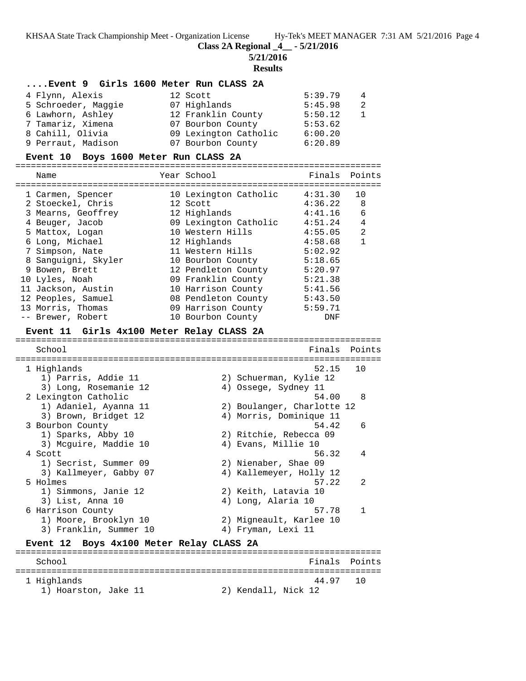**Class 2A Regional \_4\_\_ - 5/21/2016**

**5/21/2016**

#### **Results**

### **....Event 9 Girls 1600 Meter Run CLASS 2A**

| 4 Flynn, Alexis     | 12 Scott              | 5:39.79 | $\overline{4}$ |
|---------------------|-----------------------|---------|----------------|
| 5 Schroeder, Maggie | 07 Highlands          | 5:45.98 | - 2.           |
| 6 Lawhorn, Ashley   | 12 Franklin County    | 5:50.12 | $\overline{1}$ |
| 7 Tamariz, Ximena   | 07 Bourbon County     | 5:53.62 |                |
| 8 Cahill, Olivia    | 09 Lexington Catholic | 6:00.20 |                |
| 9 Perraut, Madison  | 07 Bourbon County     | 6:20.89 |                |

#### **Event 10 Boys 1600 Meter Run CLASS 2A**

=======================================================================

| Name                | Year School           | Finals  | Points         |
|---------------------|-----------------------|---------|----------------|
| 1 Carmen, Spencer   | 10 Lexington Catholic | 4:31.30 | 10             |
| 2 Stoeckel, Chris   | 12 Scott              | 4:36.22 | 8              |
| 3 Mearns, Geoffrey  | 12 Highlands          | 4:41.16 | 6              |
| 4 Beuger, Jacob     | 09 Lexington Catholic | 4:51.24 | 4              |
| 5 Mattox, Logan     | 10 Western Hills      | 4:55.05 | $\mathfrak{D}$ |
| 6 Long, Michael     | 12 Highlands          | 4:58.68 |                |
| 7 Simpson, Nate     | 11 Western Hills      | 5:02.92 |                |
| 8 Sanguigni, Skyler | 10 Bourbon County     | 5:18.65 |                |
| 9 Bowen, Brett      | 12 Pendleton County   | 5:20.97 |                |
| 10 Lyles, Noah      | 09 Franklin County    | 5:21.38 |                |
| 11 Jackson, Austin  | 10 Harrison County    | 5:41.56 |                |
| 12 Peoples, Samuel  | 08 Pendleton County   | 5:43.50 |                |
| 13 Morris, Thomas   | 09 Harrison County    | 5:59.71 |                |
| -- Brewer, Robert   | 10 Bourbon County     | DNF     |                |

#### **Event 11 Girls 4x100 Meter Relay CLASS 2A**

======================================================================= School **Finals** Points ======================================================================= 1 Highlands 52.15 10 1) Parris, Addie 11 2) Schuerman, Kylie 12 3) Long, Rosemanie 12 (4) Ossege, Sydney 11 2 Lexington Catholic 54.00 8 1) Adaniel, Ayanna 11 2) Boulanger, Charlotte 12 3) Brown, Bridget 12 4) Morris, Dominique 11 3 Bourbon County<br>
1) Sparks, Abby 10<br>
2) Ritchie, Rebecca 09<br>
3) Magnine Y 11, 12 1) Sparks, Abby 10 2) Ritchie, Rebecca 09 3) Mcguire, Maddie 10 (4) Evans, Millie 10 4 Scott 56.32 4 1) Secrist, Summer 09 2) Nienaber, Shae 09 3) Kallmeyer, Gabby 07 4) Kallemeyer, Holly 12 5 Holmes 57.22 2 1) Simmons, Janie 12 2) Keith, Latavia 10 3) List, Anna 10 (4) Long, Alaria 10 6 Harrison County 57.78 1 1) Moore, Brooklyn 10 2) Migneault, Karlee 10 3) Franklin, Summer 10 4) Fryman, Lexi 11 **Event 12 Boys 4x100 Meter Relay CLASS 2A** =======================================================================

School **Finals** Points ======================================================================= 1 Highlands 44.97 10<br>1) Hoarston, Jake 11 (2) Kendall, Nick 12 1) Hoarston, Jake 11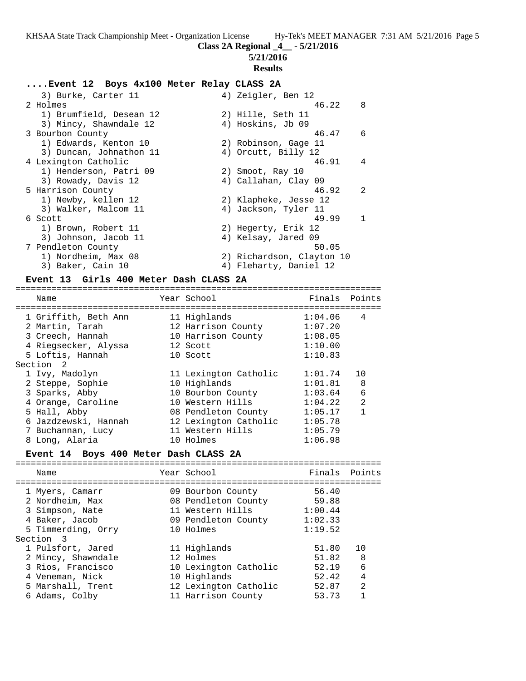**Class 2A Regional \_4\_\_ - 5/21/2016**

**5/21/2016**

## **Results**

## **....Event 12 Boys 4x100 Meter Relay CLASS 2A**

| 3) Burke, Carter 11     | 4) Zeigler, Ben 12        |                |
|-------------------------|---------------------------|----------------|
| 2 Holmes                | 46.22                     | 8              |
| 1) Brumfield, Desean 12 | 2) Hille, Seth 11         |                |
| 3) Mincy, Shawndale 12  | 4) Hoskins, Jb 09         |                |
| 3 Bourbon County        | 46.47                     | 6              |
| 1) Edwards, Kenton 10   | 2) Robinson, Gage 11      |                |
| 3) Duncan, Johnathon 11 | 4) Orcutt, Billy 12       |                |
| 4 Lexington Catholic    | 46.91                     | 4              |
| 1) Henderson, Patri 09  | 2) Smoot, Ray 10          |                |
| 3) Rowady, Davis 12     | 4) Callahan, Clay 09      |                |
| 5 Harrison County       | 46.92                     | $\mathfrak{D}$ |
| 1) Newby, kellen 12     | 2) Klapheke, Jesse 12     |                |
| 3) Walker, Malcom 11    | 4) Jackson, Tyler 11      |                |
| 6 Scott                 | 49.99                     | $\mathbf{1}$   |
| 1) Brown, Robert 11     | 2) Hegerty, Erik 12       |                |
| 3) Johnson, Jacob 11    | 4) Kelsay, Jared 09       |                |
| 7 Pendleton County      | 50.05                     |                |
| 1) Nordheim, Max 08     | 2) Richardson, Clayton 10 |                |
| 3) Baker, Cain 10       | 4) Fleharty, Daniel 12    |                |

### **Event 13 Girls 400 Meter Dash CLASS 2A**

| Name                 | Year School           | Finals Points |                |
|----------------------|-----------------------|---------------|----------------|
|                      |                       |               |                |
| 1 Griffith, Beth Ann | 11 Highlands          | 1:04.06       | 4              |
| 2 Martin, Tarah      | 12 Harrison County    | 1:07.20       |                |
| 3 Creech, Hannah     | 10 Harrison County    | 1:08.05       |                |
| 4 Riegsecker, Alyssa | 12 Scott              | 1:10.00       |                |
| 5 Loftis, Hannah     | 10 Scott              | 1:10.83       |                |
| Section 2            |                       |               |                |
| 1 Ivy, Madolyn       | 11 Lexington Catholic | 1:01.74       | 10             |
| 2 Steppe, Sophie     | 10 Highlands          | 1:01.81       | 8              |
| 3 Sparks, Abby       | 10 Bourbon County     | 1:03.64       | 6              |
| 4 Orange, Caroline   | 10 Western Hills      | 1:04.22       | $\mathfrak{D}$ |
| 5 Hall, Abby         | 08 Pendleton County   | 1:05.17       |                |
| 6 Jazdzewski, Hannah | 12 Lexington Catholic | 1:05.78       |                |
| 7 Buchannan, Lucy    | 11 Western Hills      | 1:05.79       |                |
| 8 Long, Alaria       | 10 Holmes             | 1:06.98       |                |

# **Event 14 Boys 400 Meter Dash CLASS 2A**

| Name               | Year School           | Finals Points |    |
|--------------------|-----------------------|---------------|----|
|                    |                       |               |    |
| 1 Myers, Camarr    | 09 Bourbon County     | 56.40         |    |
| 2 Nordheim, Max    | 08 Pendleton County   | 59.88         |    |
| 3 Simpson, Nate    | 11 Western Hills      | 1:00.44       |    |
| 4 Baker, Jacob     | 09 Pendleton County   | 1:02.33       |    |
| 5 Timmerding, Orry | 10 Holmes             | 1:19.52       |    |
| Section 3          |                       |               |    |
| 1 Pulsfort, Jared  | 11 Highlands          | 51.80         | 10 |
| 2 Mincy, Shawndale | 12 Holmes             | 51.82         | -8 |
| 3 Rios, Francisco  | 10 Lexington Catholic | 52.19         | 6  |
| 4 Veneman, Nick    | 10 Highlands          | 52.42         | 4  |
| 5 Marshall, Trent  | 12 Lexington Catholic | 52.87         | 2  |
| 6 Adams, Colby     | 11 Harrison County    | 53.73         |    |
|                    |                       |               |    |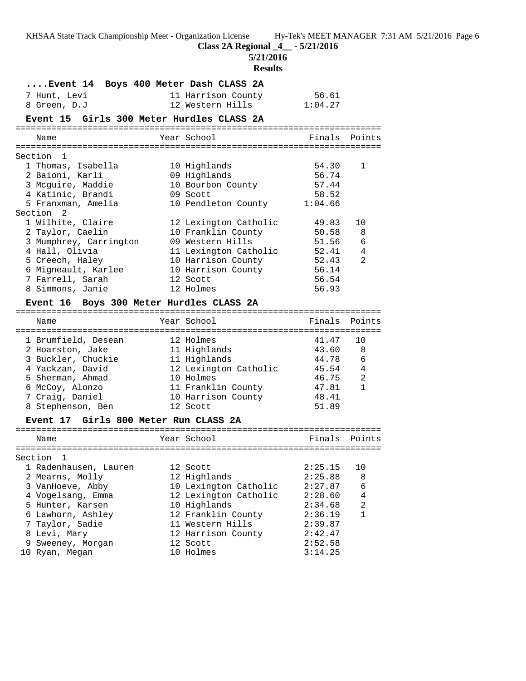**Class 2A Regional \_4\_\_ - 5/21/2016**

**5/21/2016**

# **Results**

| Event 14 Boys 400 Meter Dash CLASS 2A     |                             |                  |              |
|-------------------------------------------|-----------------------------|------------------|--------------|
| 7 Hunt, Levi                              | 11 Harrison County          | 56.61<br>1:04.27 |              |
| 8 Green, D.J                              | 12 Western Hills            |                  |              |
| Event 15 Girls 300 Meter Hurdles CLASS 2A |                             |                  |              |
| Name                                      | Year School                 | Finals           | Points       |
| Section 1                                 |                             |                  |              |
| 1 Thomas, Isabella                        | 10 Highlands                | 54.30            | $\mathbf{1}$ |
| 2 Baioni, Karli                           | 09 Highlands                | 56.74            |              |
| 3 Mcguire, Maddie                         | 10 Bourbon County           | 57.44            |              |
| 4 Katinic, Brandi                         | 09 Scott                    | 58.52            |              |
| 5 Franxman, Amelia                        | 10 Pendleton County 1:04.66 |                  |              |
| Section <sub>2</sub>                      |                             |                  |              |
| 1 Wilhite, Claire                         | 12 Lexington Catholic       | 49.83            | 10           |
| 2 Taylor, Caelin                          | 10 Franklin County          | 50.58            | 8            |
| 3 Mumphrey, Carrington                    | 09 Western Hills            | 51.56            | 6            |
| 4 Hall, Olivia                            | 11 Lexington Catholic       | 52.41            | 4            |
| 5 Creech, Haley                           | 10 Harrison County          | 52.43            | 2            |
| 6 Migneault, Karlee                       | 10 Harrison County          | 56.14            |              |
| 7 Farrell, Sarah                          | 12 Scott                    | 56.54            |              |
| 8 Simmons, Janie                          | 12 Holmes                   | 56.93            |              |
| Event 16 Boys 300 Meter Hurdles CLASS 2A  |                             |                  |              |
| Name                                      | Year School                 | Finals           | Points       |
| 1 Brumfield, Desean                       | 12 Holmes                   | 41.47            | 10           |
| 2 Hoarston, Jake                          | 11 Highlands                | 43.60            | 8            |
| 3 Buckler, Chuckie                        | 11 Highlands                | 44.78            | 6            |
| 4 Yackzan, David                          | 12 Lexington Catholic       | 45.54            | 4            |
| 5 Sherman, Ahmad                          | 10 Holmes                   | 46.75            | 2            |
| 6 McCoy, Alonzo                           | 11 Franklin County          | 47.81            | $\mathbf{1}$ |
| 7 Craig, Daniel                           | 10 Harrison County          | 48.41            |              |
| 8 Stephenson, Ben                         | 12 Scott                    | 51.89            |              |
| Event 17 Girls 800 Meter Run CLASS 2A     |                             |                  |              |
| Name                                      | Year School                 | Finals           | Points       |
|                                           |                             |                  |              |
| Section 1                                 |                             |                  |              |
| 1 Radenhausen, Lauren                     | 12 Scott                    | 2:25.15          | 10           |
| 2 Mearns, Molly                           | 12 Highlands                | 2:25.88          | 8            |
| 3 VanHoeve, Abby                          | 10 Lexington Catholic       | 2:27.87          | 6            |
| 4 Vogelsang, Emma                         | 12 Lexington Catholic       | 2:28.60          | 4            |
| 5 Hunter, Karsen                          | 10 Highlands                | 2:34.68          | 2            |
| 6 Lawhorn, Ashley                         | 12 Franklin County          | 2:36.19          | 1            |
| 7 Taylor, Sadie                           | 11 Western Hills            | 2:39.87          |              |
| 8 Levi, Mary                              | 12 Harrison County          | 2:42.47          |              |
| 9 Sweeney, Morgan                         | 12 Scott                    | 2:52.58          |              |
| 10 Ryan, Megan                            | 10 Holmes                   | 3:14.25          |              |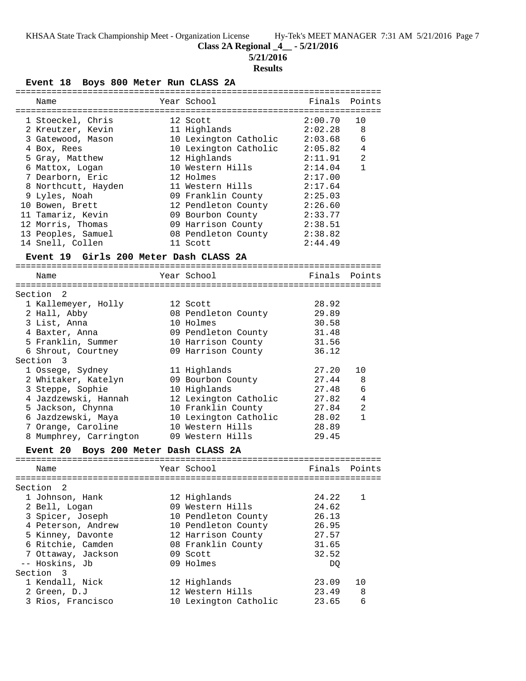**Class 2A Regional \_4\_\_ - 5/21/2016**

**5/21/2016**

# **Results**

**Event 18 Boys 800 Meter Run CLASS 2A**

| ============                                    |                                  |                    |                |
|-------------------------------------------------|----------------------------------|--------------------|----------------|
| Name                                            | Year School                      | Finals             | Points         |
|                                                 |                                  |                    |                |
| 1 Stoeckel, Chris                               | 12 Scott                         | 2:00.70            | 10             |
| 2 Kreutzer, Kevin                               | 11 Highlands                     | 2:02.28            | 8              |
| 3 Gatewood, Mason                               | 10 Lexington Catholic            | 2:03.68            | 6              |
| 4 Box, Rees                                     | 10 Lexington Catholic            | 2:05.82            | 4              |
| 5 Gray, Matthew                                 | 12 Highlands                     | 2:11.91            | $\overline{a}$ |
| 6 Mattox, Logan                                 | 10 Western Hills                 | 2:14.04            | $\mathbf{1}$   |
| 7 Dearborn, Eric                                | 12 Holmes                        | 2:17.00            |                |
| 8 Northcutt, Hayden                             | 11 Western Hills                 | 2:17.64            |                |
| 9 Lyles, Noah                                   | 09 Franklin County               | 2:25.03            |                |
| 10 Bowen, Brett                                 | 12 Pendleton County              | 2:26.60            |                |
| 11 Tamariz, Kevin                               | 09 Bourbon County                | 2:33.77            |                |
| 12 Morris, Thomas<br>13 Peoples, Samuel         | 09 Harrison County               | 2:38.51            |                |
| 14 Snell, Collen                                | 08 Pendleton County<br>11 Scott  | 2:38.82<br>2:44.49 |                |
|                                                 |                                  |                    |                |
| Event 19 Girls 200 Meter Dash CLASS 2A          |                                  |                    |                |
|                                                 |                                  |                    |                |
| Name                                            | Year School                      | Finals             | Points         |
| 2<br>Section                                    |                                  |                    |                |
|                                                 | 12 Scott                         | 28.92              |                |
| 1 Kallemeyer, Holly<br>2 Hall, Abby             |                                  | 29.89              |                |
| 3 List, Anna                                    | 08 Pendleton County<br>10 Holmes | 30.58              |                |
| 4 Baxter, Anna                                  | 09 Pendleton County              | 31.48              |                |
| 5 Franklin, Summer                              | 10 Harrison County               | 31.56              |                |
| 6 Shrout, Courtney                              | 09 Harrison County               | 36.12              |                |
| Section 3                                       |                                  |                    |                |
| 1 Ossege, Sydney                                | 11 Highlands                     | 27.20              | 10             |
| 2 Whitaker, Katelyn                             | 09 Bourbon County                | 27.44              | 8              |
| 3 Steppe, Sophie                                | 10 Highlands                     | 27.48              | 6              |
| 4 Jazdzewski, Hannah                            | 12 Lexington Catholic            | 27.82              | $\overline{4}$ |
| 5 Jackson, Chynna                               | 10 Franklin County               | 27.84              | $\overline{2}$ |
| 6 Jazdzewski, Maya                              | 10 Lexington Catholic            | 28.02              | $\mathbf{1}$   |
| 7 Orange, Caroline                              | 10 Western Hills                 | 28.89              |                |
| 8 Mumphrey, Carrington                          | 09 Western Hills                 | 29.45              |                |
|                                                 |                                  |                    |                |
| Boys 200 Meter Dash CLASS 2A<br><b>Event 20</b> |                                  |                    |                |
| Name                                            | Year School                      | Finals             | Points         |
|                                                 |                                  |                    |                |
| Section<br>2                                    |                                  |                    |                |
| 1 Johnson, Hank                                 | 12 Highlands                     | 24.22              | 1              |
| 2 Bell, Logan                                   | 09 Western Hills                 | 24.62              |                |
| 3 Spicer, Joseph                                | 10 Pendleton County              | 26.13              |                |
| 4 Peterson, Andrew                              | 10 Pendleton County              | 26.95              |                |
| 5 Kinney, Davonte                               | 12 Harrison County               | 27.57              |                |
| 6 Ritchie, Camden                               | 08 Franklin County               | 31.65              |                |
| 7 Ottaway, Jackson                              | 09 Scott                         | 32.52              |                |
| -- Hoskins, Jb                                  | 09 Holmes                        | DQ.                |                |
| Section 3                                       |                                  |                    |                |
| 1 Kendall, Nick                                 | 12 Highlands                     | 23.09              | 10             |
| 2 Green, D.J                                    | 12 Western Hills                 | 23.49              | 8              |
| 3 Rios, Francisco                               | 10 Lexington Catholic            | 23.65              | 6              |
|                                                 |                                  |                    |                |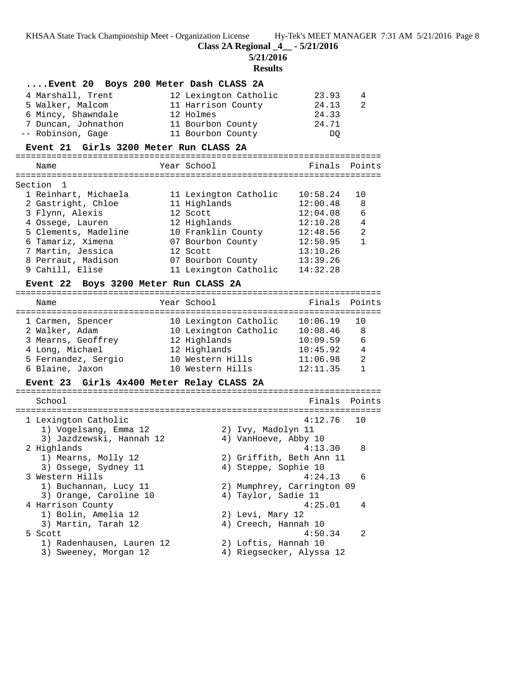**Class 2A Regional \_4\_\_ - 5/21/2016**

**5/21/2016**

**Results**

| Event 20 Boys 200 Meter Dash CLASS 2A     |                            |               |              |
|-------------------------------------------|----------------------------|---------------|--------------|
| 4 Marshall, Trent                         | 12 Lexington Catholic      | 23.93         | 4            |
| 5 Walker, Malcom                          | 11 Harrison County         | 24.13         | 2            |
| 6 Mincy, Shawndale                        | 12 Holmes                  | 24.33         |              |
| 7 Duncan, Johnathon                       | 11 Bourbon County          | 24.71         |              |
| -- Robinson, Gage                         | 11 Bourbon County          | DQ            |              |
| Event 21 Girls 3200 Meter Run CLASS 2A    |                            |               |              |
| Name                                      | Year School                | Finals Points |              |
|                                           |                            |               |              |
| Section 1                                 |                            |               |              |
| 1 Reinhart, Michaela                      | 11 Lexington Catholic      | 10:58.24      | 10           |
| 2 Gastright, Chloe                        | 11 Highlands               | 12:00.48      | 8            |
| 3 Flynn, Alexis                           | 12 Scott                   | 12:04.08      | 6            |
| 4 Ossege, Lauren                          | 12 Highlands               | 12:10.28      | 4            |
| 5 Clements, Madeline                      | 10 Franklin County         | 12:48.56      | 2            |
| 6 Tamariz, Ximena                         | 07 Bourbon County          | 12:50.95      | $\mathbf{1}$ |
| 7 Martin, Jessica                         | 12 Scott                   | 13:10.26      |              |
| 8 Perraut, Madison                        | 07 Bourbon County          | 13:39.26      |              |
| 9 Cahill, Elise                           | 11 Lexington Catholic      | 14:32.28      |              |
| Event 22 Boys 3200 Meter Run CLASS 2A     |                            |               |              |
| Name                                      | Year School                | Finals Points |              |
| 1 Carmen, Spencer                         | 10 Lexington Catholic      | 10:06.19      | 10           |
| 2 Walker, Adam                            | 10 Lexington Catholic      | 10:08.46      | 8            |
| 3 Mearns, Geoffrey                        | 12 Highlands               | 10:09.59      | 6            |
| 4 Long, Michael                           | 12 Highlands               | 10:45.92 4    |              |
| 5 Fernandez, Sergio                       | 10 Western Hills           | 11:06.98      | 2            |
| 6 Blaine, Jaxon                           | 10 Western Hills           | 12:11.35      | $\mathbf{1}$ |
|                                           |                            |               |              |
| Event 23 Girls 4x400 Meter Relay CLASS 2A |                            |               |              |
| School                                    |                            | Finals        | Points       |
| 1 Lexington Catholic                      |                            | 4:12.76       | 10           |
| 1) Vogelsang, Emma 12                     | 2) Ivy, Madolyn 11         |               |              |
| 3) Jazdzewski, Hannah 12                  | 4) VanHoeve, Abby 10       |               |              |
| 2 Highlands                               |                            | 4:13.30 8     |              |
| 1) Mearns, Molly 12                       | 2) Griffith, Beth Ann 11   |               |              |
| 3) Ossege, Sydney 11                      | 4) Steppe, Sophie 10       |               |              |
| 3 Western Hills                           |                            | 4:24.13       | 6            |
| 1) Buchannan, Lucy 11                     | 2) Mumphrey, Carrington 09 |               |              |
| 3) Orange, Caroline 10                    | 4) Taylor, Sadie 11        |               |              |
| 4 Harrison County                         |                            | 4:25.01       | 4            |
| 1) Bolin, Amelia 12                       | 2) Levi, Mary 12           |               |              |
| 3) Martin, Tarah 12                       | 4) Creech, Hannah 10       |               |              |
| 5 Scott                                   |                            | 4:50.34       | 2            |
| 1) Radenhausen, Lauren 12                 | 2) Loftis, Hannah 10       |               |              |
| 3) Sweeney, Morgan 12                     | 4) Riegsecker, Alyssa 12   |               |              |
|                                           |                            |               |              |